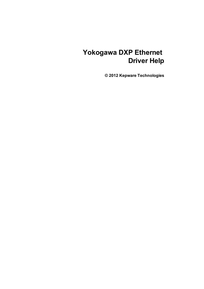# **Yokogawa DXP Ethernet Driver Help**

**© 2012 Kepware Technologies**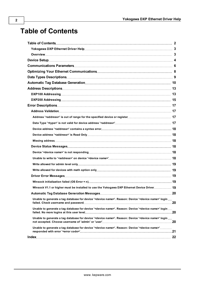# <span id="page-1-0"></span>**Table of Contents**

| Winsock V1.1 or higher must be installed to use the Yokogawa DXP Ethernet Device Driver 19                                   |  |
|------------------------------------------------------------------------------------------------------------------------------|--|
|                                                                                                                              |  |
| Unable to generate a tag database for device ' <device name="">'. Reason: Device '<device name="">' login </device></device> |  |
| Unable to generate a tag database for device '< device name>'. Reason: Device '< device name>' login                         |  |
| Unable to generate a tag database for device ' <device name="">'. Reason: Device '<device name="">' login </device></device> |  |
| Unable to generate a tag database for device ' <device name="">'. Reason: Device '<device name="">'</device></device>        |  |
|                                                                                                                              |  |
|                                                                                                                              |  |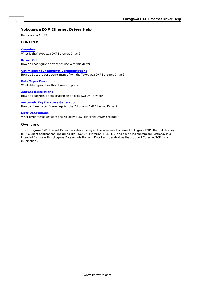## <span id="page-2-0"></span>**Yokogawa DXP Ethernet Driver Help**

Help version 1.023

#### **CONTENTS**

**[Overview](#page-2-1)** What is the Yokogawa DXP Ethernet Driver?

**[Device](#page-3-0) [Setup](#page-3-0)** How do I configure a device for use with this driver?

**[Optimizing](#page-7-0) [Your](#page-7-0) [Ethernet](#page-7-0) [Communications](#page-7-0)** How do I get the best performance from the Yokogawa DXP Ethernet Driver?

**[Data](#page-8-0) [Types](#page-8-0) [Description](#page-8-0)** What data types does this driver support?

#### **[Address](#page-12-0) [Descriptions](#page-12-0)**

How do I address a data location on a Yokogawa DXP device?

**[Automatic](#page-9-0) [Tag](#page-9-0) [Database](#page-9-0) [Generation](#page-9-0)**

How can I easily configure tags for the Yokogawa DXP Ethernet Driver?

#### **[Error](#page-16-0) [Descriptions](#page-16-0)**

<span id="page-2-1"></span>What error messages does the Yokogawa DXP Ethernet Driver produce?

#### **Overview**

The Yokogawa DXP Ethernet Driver provides an easy and reliable way to connect Yokogawa DXP Ethernet devices to OPC Client applications, including HMI, SCADA, Historian, MES, ERP and countless custom applications. It is intended for use with Yokogawa Data Acquisition and Data Recorder devices that support Ethernet TCP communications.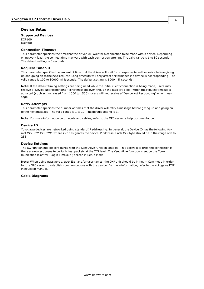#### <span id="page-3-0"></span>**Device Setup**

#### **Supported Devices**

DXP100 DXP200

#### <span id="page-3-2"></span>**Connection Timeout**

This parameter specifies the time that the driver will wait for a connection to be made with a device. Depending on network load, the connect time may vary with each connection attempt. The valid range is 1 to 30 seconds. The default setting is 3 seconds.

#### <span id="page-3-3"></span>**Request Timeout**

This parameter specifies the amount of time that the driver will wait for a response from the device before giving up and going on to the next request. Long timeouts will only affect performance if a device is not responding. The valid range is 100 to 30000 milliseconds. The default setting is 1000 milliseconds.

**Note:** If the default timing settings are being used while the initial client connection is being made, users may receive a "Device Not Responding" error message even though the tags are good. When the request timeout is adjusted (such as, increased from 1000 to 1500), users will not receive a "Device Not Responding" error message.

#### <span id="page-3-4"></span>**Retry Attempts**

This parameter specifies the number of times that the driver will retry a message before giving up and going on to the next message. The valid range is 1 to 10. The default setting is 3.

<span id="page-3-1"></span>**Note:** For more information on timeouts and retries, refer to the OPC server's help documentation.

#### **Device ID**

Yokogawa devices are networked using standard IP addressing. In general, the Device ID has the following format *YYY.YYY.YYY.YYY*, where *YYY* designates the device IP address. Each *YYY* byte should be in the range of 0 to 255.

#### **Device Settings**

The DXP unit should be configured with the Keep Alive function enabled. This allows it to drop the connection if there are no responses to periodic test packets at the TCP level. The Keep Alive function is set on the Communication (Control –Login Time out-) screen in Setup Mode.

**Note:** When using passwords, user IDs, and/or usernames, the DXP unit should be in Key + Com mode in order for the OPC server to establish communications with the device. For more information, refer to the Yokogawa DXP instruction manual.

#### **Cable Diagrams**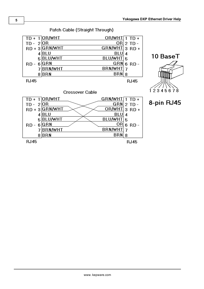

<u>OR</u> 6 RD -

**RJ45** 

BRN/WHT 7

 $BRN|8$ 

**5**

 $RD - 6$ <sup>GRN</sup>

**RJ45** 

7BRN/WHT

 $8$  $BRN$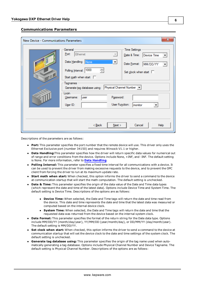#### <span id="page-5-0"></span>**Communications Parameters**

| New Device - Communications Parameters |                                                                                                                                       | $\overline{\mathbf{x}}$                                                                                                |
|----------------------------------------|---------------------------------------------------------------------------------------------------------------------------------------|------------------------------------------------------------------------------------------------------------------------|
| Q                                      | General<br>Ethemet<br>Port:<br>Data Handling: None<br>▾<br>Polling Interval: 1000<br>÷<br>Start math when start $\square$<br>Tagnames | <b>Time Settings</b><br>Date & Time:<br>Device Time<br>Date Format:<br>MM/DD/YY<br>▼<br>Set clock when start $\square$ |
|                                        | Generate tag database using:   Physical Channel Number   v<br>Loain                                                                   |                                                                                                                        |
|                                        | Password:<br>Usemame:<br>luser<br>User Function:<br>$USE$ ID:                                                                         | Imonitor                                                                                                               |
|                                        |                                                                                                                                       |                                                                                                                        |
|                                        | < <u>B</u> ack<br>Next                                                                                                                | Cancel<br>Help                                                                                                         |

Descriptions of the parameters are as follows:

- **Port:** This parameter specifies the port number that the remote device will use. This driver only uses the Ethernet Exclusive port (number 34150) and requires Winsock V1.1 or higher.
- **Data Handling:**This parameter specifies how the driver will return specific data values for numerical out of range and error conditions from the device. Options include None, +INF, and -INF. The default setting is None. For more information, refer to **[Data](#page-6-0) [Handling](#page-6-0)**.
- **Polling Interval:** This parameter specifies a fixed time interval for all communications with a device. It can be used to prevent the driver from making excessive requests to the device, and to prevent the OPC client from forcing the driver to run at its maximum update rate.
- **Start math when start:** When checked, this option informs the driver to send a command to the device at communication startup that will start the math computation. The default setting is unchecked.
- **Date & Time:** This parameter specifies the origin of the data value of the Date and Time data types (which represent the date and time of the latest data). Options include Device Time and System Time. The default setting is Device Time. Descriptions of the options are as follows:
	- **Device Time:** When selected, the Date and Time tags will return the date and time read from the device. This date and time represents the date and time that the latest data was measured or computed based on the internal device clock.
	- **System Time:** When selected, the Date and Time tags will return the date and time that the requested data was returned from the device based on the internal system clock.
- **Date Format:** This parameter specifies the format of the return string for the Date data type. Options include MM/DD/YY (month/day/year), YY/MM/DD (year/month/day), or DD/MM/YY (day/month/year). The default setting is MM/DD/YY.
- **Set clock when start:** When checked, this option informs the driver to send a command to the device at communication startup that will set the device clock to the date and time settings of the system clock. The default setting is unchecked.
- <sup>l</sup> **Generate tag database using:** This parameter specifies the origin of the tag name used when automatically generating a tag database. Options include Physical Channel Number and Device Tagname. The default setting is Physical Channel Number. Descriptions of the options are as follows: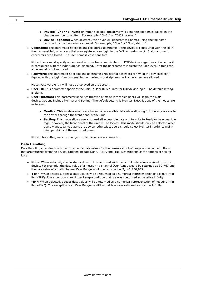- **Physical Channel Number:** When selected, the driver will generate tag names based on the channel number of an item. For example, "CH01" or "CH01\_alarm1".
- **Device Tagname:** When selected, the driver will generate tag names using the tag name returned by the device for a channel. For example, "Flow" or "Flow\_alarm1".
- **Username:** This parameter specifies the registered username. If the device is configured with the login function enabled, only users that are registered can login to the DXP. A maximum of 16 alphanumeric characters are allowed. The user name is case sensitive.

**Note:** Users must specify a user level in order to communicate with DXP devices regardless of whether it is configured with the login function disabled. Enter the username to indicate the user level. In this case, a password is not required.

Password: This parameter specifies the username's registered password for when the device is configured with the login function enabled. A maximum of 6 alphanumeric characters are allowed.

**Note:** Password entry will not be displayed on the screen.

- **User ID:** This parameter specifies the unique User ID required for DXP device login. The default setting is blank.
- <span id="page-6-0"></span>**User Function:** This parameter specifies the type of mode with which users will login to a DXP device. Options include Monitor and Setting. The default setting is Monitor. Descriptions of the modes are as follows:
	- **Monitor:** This mode allows users to read all accessible data while allowing full operator access to the device through the front panel of the unit.
	- **Setting:** This mode allows users to read all accessible data and to write to Read/Write accessible tags; however, the front panel of the unit will be locked. This mode should only be selected when users want to write data to the device; otherwise, users should select Monitor in order to maintain operability of the unit front panel.

**Note:** This setting may be changed while the server is connected.

#### **Data Handling**

Data Handling specifies how to return specific data values for the numerical out of range and error conditions that are returned from the device. Options include None, +INF, and -INF. Descriptions of the options are as follows:

- **None:** When selected, special data values will be returned with the actual data value received from the device. For example, the data value of a measuring channel Over Range would be returned as 32,767 and the data value of a math channel Over Range would be returned as 2,147,450,879.
- **+ INF:** When selected, special data values will be returned as a numerical representation of positive infinity (#INF). The exception is an Under Range condition that is always returned as negative infinity.
- <sup>l</sup> **-INF:** When selected, special data values will be returned as a numerical representation of negative infinity (-#INF). The exception is an Over Range condition that is always returned as positive infinity.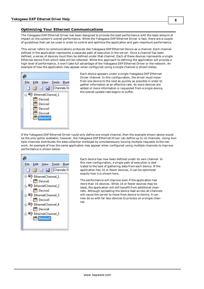#### <span id="page-7-0"></span>**Optimizing Your Ethernet Communications**

The Yokogawa DXP Ethernet Driver has been designed to provide the best performance with the least amount of impact on the system's overall performance. While the Yokogawa DXP Ethernet Driver is fast, there are a couple of guidelines that can be used in order to control and optimize the application and gain maximum performance.

This server refers to communications protocols like Yokogawa DXP Ethernet Device as a channel. Each channel defined in the application represents a separate path of execution in the server. Once a channel has been defined, a series of devices must then be defined under that channel. Each of these devices represents a single Ethernet device from which data will be collected. While this approach to defining the application will provide a high level of performance, it won't take full advantage of the Yokogawa DXP Ethernet Driver or the network. An example of how the application may appear when configured using a single channel is shown below.



Each device appears under a single Yokogawa DXP Ethernet Driver channel. In this configuration, the driver must move from one device to the next as quickly as possible in order to gather information at an effective rate. As more devices are added or more information is requested from a single device, the overall update rate begins to suffer.

If the Yokogawa DXP Ethernet Driver could only define one single channel, then the example shown above would be the only option available; however, the Yokogawa DXP Ethernet Driver can define up to 16 channels. Using multiple channels distributes the data collection workload by simultaneously issuing multiple requests to the network. An example of how the same application may appear when configured using multiple channels to improve performance is shown below.



Each device has now been defined under its own channel. In this new configuration, a single path of execution is dedicated to the task of gathering data from each device. If the application has 16 or fewer devices, it can be optimized exactly how it is shown here.

The performance will improve even if the application has more than 16 devices. While 16 or fewer devices may be ideal, the application will still benefit from additional channels. Although spreading the device load across all channels will cause the server to move from device to device, it can now do so with far less devices to process on a single channel.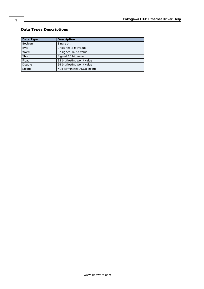# <span id="page-8-0"></span>**Data Types Descriptions**

<span id="page-8-4"></span><span id="page-8-3"></span><span id="page-8-2"></span><span id="page-8-1"></span>

| Data Type   | <b>Description</b>           |
|-------------|------------------------------|
| Boolean     | Single bit                   |
| <b>Byte</b> | Unsigned 8 bit value         |
| Word        | Unsigned 16 bit value        |
| Short       | Signed 16 bit value          |
| Float       | 32 bit floating point value  |
| Double      | 64 bit floating point value  |
| String      | Null terminated ASCII string |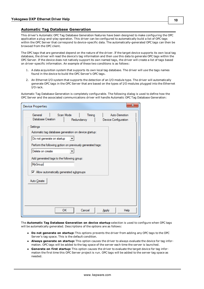#### <span id="page-9-0"></span>**Automatic Tag Database Generation**

This driver's Automatic OPC Tag Database Generation features have been designed to make configuring the OPC application a plug-and-play operation. This driver can be configured to automatically build a list of OPC tags within the OPC Server that correspond to device-specific data. The automatically-generated OPC tags can then be browsed from the OPC client.

The OPC tags that are generated depend on the nature of the driver. If the target device supports its own local tag database, the driver will read the device's tag information and then use this data to generate OPC tags within the OPC Server. If the device does not natively support its own named tags, the driver will create a list of tags based on driver-specific information. An example of these two conditions is as follows:

- 1. A data acquisition system that supports its own local tag database. The driver will use the tags names found in the device to build the OPC Server's OPC tags.
- 2. An Ethernet I/O system that supports the detection of an I/O module type. The driver will automatically generate OPC tags in the OPC Server that are based on the types of I/O modules plugged into the Ethernet I/O rack.

Automatic Tag Database Generation is completely configurable. The following dialog is used to define how the OPC Server and the associated communications driver will handle Automatic OPC Tag Database Generation:

| <b>Device Properties</b>                                   |            |        | x                    |  |  |
|------------------------------------------------------------|------------|--------|----------------------|--|--|
| Scan Mode<br>General                                       |            | Timing | Auto-Demotion        |  |  |
| Database Creation                                          | Redundancy |        | Device Configuration |  |  |
| Settings                                                   |            |        |                      |  |  |
| Automatic tag database generation on device startup:       |            |        |                      |  |  |
| Do not generate on startup                                 |            |        |                      |  |  |
| Perform the following action on previously generated tags: |            |        |                      |  |  |
| Delete on create                                           |            |        |                      |  |  |
|                                                            |            |        |                      |  |  |
| Add generated tags to the following group:                 |            |        |                      |  |  |
| <b>MyGroup</b>                                             |            |        |                      |  |  |
| Mow automatically generated subgroups                      |            |        |                      |  |  |
|                                                            |            |        |                      |  |  |
| Auto Create                                                |            |        |                      |  |  |
|                                                            |            |        |                      |  |  |
|                                                            |            |        |                      |  |  |
|                                                            |            |        |                      |  |  |
| ок                                                         |            | Cancel | Apply<br>Help        |  |  |
|                                                            |            |        |                      |  |  |

The **Automatic Tag Database Generation on device startup** selection is used to configure when OPC tags will be automatically generated. Descriptions of the options are as follows:

- **Do not generate on startup:** This options prevents the driver from adding any OPC tags to the OPC Server's tag space. This is the default condition.
- **Always generate on startup:** This option causes the driver to always evaluate the device for tag information. OPC tags will be added to the tag space of the server each time the server is launched.
- <sup>l</sup> **Generate on first startup:** This option causes the driver to evaluate the target device for tag information the first time this OPC Server project is run. OPC tags will be added to the server tag space as needed.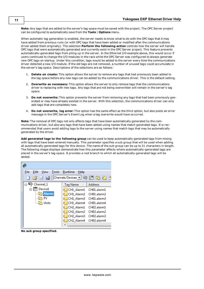**Note:** Any tags that are added to the server's tag space must be saved with the project. The OPC Server project can be configured to automatically save from the **Tools** | **Options** menu.

When automatic tag generation is enabled, the server needs to know what to do with the OPC tags that it may have added from previous runs (or with OPC tags that have been added or modified after the communications driver added them originally). The selection **Perform the following action** controls how the server will handle OPC tags that were automatically generated and currently exist in the OPC Server project. This feature prevents automatically-generated tags from piling up in the server. In the Ethernet I/O example above, this would occur if users continued to change the I/O modules in the rack while the OPC Server was configured to always generate new OPC tags on startup. Under this condition, tags would be added to the server every time the communications driver detected a new I/O module. If the old tags are not removed, a number of unused tags could accumulate in the server's tag space. Descriptions of the selections are as follows:

- 1. **Delete on create:** This option allows the server to remove any tags that had previously been added to the tag space before any new tags can be added by the communications driver. This is the default setting.
- 2. **Overwrite as necessary:** This option allows the server to only remove tags that the communications driver is replacing with new tags. Any tags that are not being overwritten will remain in the server's tag space.
- 3. **Do not overwrite:** This option prevents the server from removing any tags that had been previously generated or may have already existed in the server. With this selection, the communications driver can only add tags that are completely new.
- 4. **Do not overwrite, log error:** This option has the same effect as the third option, but also posts an error message in the OPC Server's Event Log when a tag overwrite would have occurred.

**Note:** The removal of OPC tags not only affects tags that have been automatically generated by the communications driver, but also any tags that have been added using names that match generated tags. It is recommended that users avoid adding tags to the server using names that match tags that may be automatically generated by the driver.

**Add generated tags to the following group** can be used to keep automatically-generated tags from mixing with tags that have been entered manually. This parameter specifies a sub group that will be used when adding all automatically-generated tags for this device. The name of the sub group can be up to 31 characters in length. The following image displays demonstrate how this parameter affects where automatically-generated tags are placed in the server's tag space. It provides a root branch to which all automatically-generated tags will be added.



**No sub group specified.** 

**11**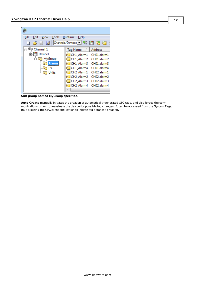| File<br>Edit<br>Tools Runtime<br>View                                            | Help                               |                |
|----------------------------------------------------------------------------------|------------------------------------|----------------|
| $\begin{array}{c} \square \quad \square \quad \square \quad \square \end{array}$ |                                    |                |
| $\Box$ $\Box$ Channel 1                                                          | Tag Name<br>Δ.                     | <b>Address</b> |
| Device1                                                                          | CH1 Alarm1                         | CH01.alarm1    |
| 白 MyGroup                                                                        | CH1 Alarm2                         | CH01.alarm2    |
| <b>Alarms</b>                                                                    | CH1 Alarm3                         | CH01.alarm3    |
| PV                                                                               | CH1 Alarm4                         | CH01.alarm4    |
| Units                                                                            | CH <sub>2</sub> Alarm1             | CH02.alarm1    |
|                                                                                  | CH <sub>2</sub> Alarm <sub>2</sub> | CH02.alarm2    |
|                                                                                  | CH <sub>2</sub> Alarm <sub>3</sub> | CH02.alarm3    |
|                                                                                  | CH2 Alarm4                         | CH02.alarm4    |
|                                                                                  |                                    |                |
|                                                                                  |                                    |                |

**Sub group named MyGroup specified.**

**Auto Create** manually initiates the creation of automatically-generated OPC tags, and also forces the communications driver to reevaluate the device for possible tag changes. It can be accessed from the System Tags, thus allowing the OPC client application to initiate tag database creation.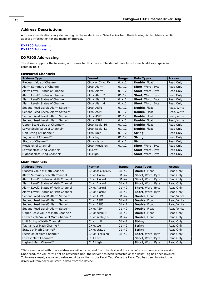#### <span id="page-12-0"></span>**Address Descriptions**

Address specifications vary depending on the model in use. Select a link from the following list to obtain specific address information for the model of interest.

#### **[DXP100](#page-12-1) [Addressing](#page-12-1)**

<span id="page-12-1"></span>**[DXP200](#page-14-0) [Addressing](#page-14-0)**

#### **DXP100 Addressing**

The driver supports the following addresses for this device. The default data type for each address type is indicated in **bold**.

#### **Measured Channels**

| <b>Address Type</b>                | <b>Format</b>                       | Range     | <b>Data Types</b>        | <b>Access</b> |
|------------------------------------|-------------------------------------|-----------|--------------------------|---------------|
| Process Value of Channel           | CHxx or CHxx.PV                     | $01 - 12$ | <b>Double, Float</b>     | Read Only     |
| Alarm Summary of Channel           | CHxx.Alarm                          | $01 - 12$ | Short, Word, Byte        | Read Only     |
| Alarm Level1 Status of Channel     | CHxx.Alarm1                         | $01 - 12$ | Short, Word, Byte        | Read Only     |
| Alarm Level2 Status of Channel     | CHxx.Alarm2                         | $01 - 12$ | Short, Word, Byte        | Read Only     |
| Alarm Level3 Status of Channel     | CHxx.Alarm3                         | $01 - 12$ | Short, Word, Byte        | Read Only     |
| Alarm Level4 Status of Channel     | CHxx.Alarm4                         | $01 - 12$ | <b>Short, Word, Byte</b> | Read Only     |
| Set and Read Level1 Alarm Setpoint | CHxx.ASP1                           | $01 - 12$ | <b>Double, Float</b>     | Read/Write    |
| Set and Read Level2 Alarm Setpoint | CH <sub>xx</sub> , ASP <sub>2</sub> | $01 - 12$ | Double, Float            | Read/Write    |
| Set and Read Level3 Alarm Setpoint | CH <sub>xx</sub> , ASP3             | $01 - 12$ | Double, Float            | Read/Write    |
| Set and Read Level4 Alarm Setpoint | CHxx.ASP4                           | $01 - 12$ | Double, Float            | Read/Write    |
| Upper Scale Value of Channel*      | CHxx.scale Hi                       | $01 - 12$ | Double, Float            | Read Only     |
| Lower Scale Value of Channel*      | CHxx.scale_Lo                       | $01 - 12$ | Double, Float            | Read Only     |
| Unit String of Channel*            | CHxx.unit                           | $01 - 12$ | <b>String</b>            | Read Only     |
| Tagname of Channel*                | CHxx.tag                            | $01 - 12$ | <b>String</b>            | Read Only     |
| Status of Channel*                 | CHxx.status                         | $01 - 12$ | <b>String</b>            | Read Only     |
| Precision of Channel*              | CHxx.Precision                      | $01 - 12$ | Short, Word, Byte        | Read Only     |
| Lowest Measuring Channel*          | CH.Low                              |           | Short, Word, Byte        | Read Only     |
| Highest Measuring Channel*         | CH.High                             |           | Short, Word, Byte        | Read Only     |

#### **Math Channels**

| <b>Address Type</b>                 | <b>Format</b>   | Range     | <b>Data Types</b>        | <b>Access</b> |
|-------------------------------------|-----------------|-----------|--------------------------|---------------|
| Process Value of Math Channel       | CHxx or CHxx.PV | $31 - 42$ | Double, Float            | Read Only     |
| Alarm Summary of Math Channel       | CHxx.Alarm      | $31 - 42$ | Short, Word, Byte        | Read Only     |
| Alarm Level1 Status of Math Channel | CHxx.Alarm1     | $31 - 42$ | <b>Short, Word, Byte</b> | Read Only     |
| Alarm Level2 Status of Math Channel | CHxx.Alarm2     | $31 - 42$ | <b>Short, Word, Byte</b> | Read Only     |
| Alarm Level3 Status of Math Channel | CHxx.Alarm3     | $31 - 42$ | Short, Word, Byte        | Read Only     |
| Alarm Level4 Status of Math Channel | CHxx.Alarm4     | $31 - 42$ | Short, Word, Byte        | Read Only     |
| Set and Read Level1 Alarm Setpoint  | CHxx.ASP1       | $31 - 42$ | <b>Double, Float</b>     | Read/Write    |
| Set and Read Level2 Alarm Setpoint  | CHxx.ASP2       | $31 - 42$ | <b>Double, Float</b>     | Read/Write    |
| Set and Read Level3 Alarm Setpoint  | CHxx.ASP3       | $31 - 42$ | <b>Double, Float</b>     | Read/Write    |
| Set and Read Level4 Alarm Setpoint  | CHxx.ASP4       | $31 - 42$ | <b>Double, Float</b>     | Read/Write    |
| Upper Scale Value of Math Channel*  | CHxx.scale Hi   | $31 - 42$ | <b>Double, Float</b>     | Read Only     |
| Lower Scale Value of Math Channel*  | CHxx.scale Lo   | $31 - 42$ | <b>Double, Float</b>     | Read Only     |
| Unit String of Math Channel*        | CHxx.unit       | $31 - 42$ | <b>String</b>            | Read Only     |
| Tagname of Math Channel*            | CHxx.tag        | $31 - 42$ | <b>String</b>            | Read Only     |
| Status of Math Channel*             | CHxx.status     | $31 - 42$ | <b>String</b>            | Read Only     |
| Precision of Math Channel*          | CHxx.Precision  | $31 - 42$ | Short, Word, Byte        | Read Only     |
| Lowest Math Channel*                | CHA.Low         |           | Short, Word, Byte        | Read Only     |
| Highest Math Channel*               | CHA.High        |           | Short, Word, Byte        | Read Only     |

\*Data associated with these addresses will only be read from the device at the start of a communications session. Once read, the values will not be refreshed until the server has been restarted or the Reset Tag has been invoked. To invoke a reset, a non-zero value must be written to the Reset Tag. Once the Reset Tag has been invoked, the driver will reinitialize all startup data from the device.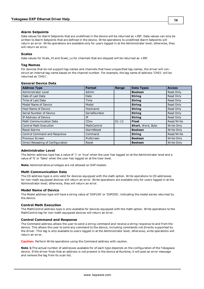#### **Alarm Setpoints**

Data values for Alarm Setpoints that are undefined in the device will be returned as +INF. Data values can only be written to Alarm Setpoints that are defined in the device. Write operations to undefined Alarm Setpoints will return an error. Write operations are available only for users logged in at the Administrator level; otherwise, they will return an error.

#### **Scales**

Data values for Scale\_Hi and Scale\_Lo for channels that are skipped will be returned as +INF.

#### **Tag Names**

For devices that do not support tag names and channels that have unspecified tag names, the driver will construct an internal tag name based on the channel number. For example, the tag name of address 'CH01' will be returned as 'CH01'.

| <b>Address Type</b>               | <b>Format</b> | Range     | <b>Data Types</b> | <b>Access</b> |
|-----------------------------------|---------------|-----------|-------------------|---------------|
| Administrator Level               | Admin         |           | <b>Boolean</b>    | Read Only     |
| Date of Last Data                 | Date          |           | <b>String</b>     | Read Only     |
| Time of Last Data                 | Time          |           | <b>String</b>     | Read Only     |
| Model Name of Device              | Model         |           | <b>String</b>     | Read Only     |
| Host Name of Device               | Hostname      |           | <b>String</b>     | Read Only     |
| Serial Number of Device           | SerialNumber  |           | <b>String</b>     | Read Only     |
| IP Address of Device              | ΙP            |           | <b>String</b>     | Read Only     |
| Math Communication Data           | <b>CDxx</b>   | $01 - 12$ | <b>Float</b>      | Read/Write    |
| <b>Control Math Execution</b>     | MathControl   |           | Short, Word, Byte | Write Only    |
| Reset Alarms                      | AlarmReset    |           | <b>Boolean</b>    | Write Only    |
| Control Command and Response      | Command       |           | <b>String</b>     | Read/Write    |
| Previous Screen                   | PreScreen     |           | <b>Boolean</b>    | Write Only    |
| Direct Reloading of Configuration | Reset         |           | <b>Boolean</b>    | Write Only    |

#### **Administrator Level**

The Admin address type has a value of '1' or 'true' when the user has logged on at the Administrator level and a value of '0' or 'false' when the user has logged on at the User level.

**Note:** Administrative privileges are not allowed on DXP models.

#### **Math Communication Data**

The CD address type is only valid for devices equipped with the math option. Write operations to CD addresses for non-math equipped devices will return an error. Write operations are available only for users logged in at the Administrator level; otherwise, they will return an error.

#### **Model Name of Device**

The Model address type will have a string value of 'DXP100' or 'DXP200', indicating the model series returned by the device.

#### **Control Math Execution**

The MathControl address type is only available for devices equipped with the math option. Write operations to the MathControl tag for non-math equipped devices will return an error.

#### **Control Command and Response**

The Command address allows the user to send a string command and receive a string response to and from the device. This allows the user to send any command to the device, including commands not directly supported by the driver. This tag is only available to users logged in at the Administrator level; otherwise, write operations will return an error.

**Caution:** Perform Write operations using the Command address with caution.

**Note 1:**The actual number of addresses available for of each type depends on the configuration of the Yokogawa device. If the driver finds that an address is not present in the device at Runtime, it will post an error message and remove the tag from its scan list.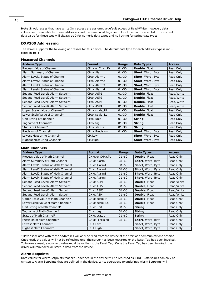**Note 2:** Addresses that have Write Only access are assigned a default access of Read/Write; however, data values are unreadable for these addresses and the associated tags are not included in the scan list. The current data value for these tags will always be 0 for numeric data types and null string for string data types.

#### <span id="page-14-0"></span>**DXP200 Addressing**

The driver supports the following addresses for this device. The default data type for each address type is indicated in **bold**.

#### **Measured Channels**

| <b>Address Type</b>                | <b>Format</b>            | Range     | <b>Data Types</b>        | <b>Access</b> |
|------------------------------------|--------------------------|-----------|--------------------------|---------------|
| Process Value of Channel           | CHxx or CHxx.PV          | $01 - 30$ | Double, Float            | Read Only     |
| Alarm Summary of Channel           | CHxx.Alarm               | $01 - 30$ | <b>Short, Word, Byte</b> | Read Only     |
| Alarm Level1 Status of Channel     | CHxx.Alarm1              | $01 - 30$ | <b>Short, Word, Byte</b> | Read Only     |
| Alarm Level2 Status of Channel     | CHxx.Alarm2              | $01 - 30$ | Short, Word, Byte        | Read Only     |
| Alarm Level3 Status of Channel     | CHxx.Alarm3              | $01 - 30$ | Short, Word, Byte        | Read Only     |
| Alarm Level4 Status of Channel     | CHxx.Alarm4              | $01 - 30$ | Short, Word, Byte        | Read Only     |
| Set and Read Level1 Alarm Setpoint | CHxx.ASP1                | $01 - 30$ | <b>Double, Float</b>     | Read/Write    |
| Set and Read Level2 Alarm Setpoint | CHxx.ASP2                | $01 - 30$ | Double, Float            | Read/Write    |
| Set and Read Level3 Alarm Setpoint | CH <sub>xx</sub> , ASP3  | $01 - 30$ | Double, Float            | Read/Write    |
| Set and Read Level4 Alarm Setpoint | CH <sub>xx</sub> , ASP4  | $01 - 30$ | Double, Float            | Read/Write    |
| Upper Scale Value of Channel*      | CHxx.scale Hi            | $01 - 30$ | Double, Float            | Read Only     |
| Lower Scale Value of Channel*      | CHxx.scale Lo            | $01 - 30$ | Double, Float            | Read Only     |
| Unit String of Channel*            | CHxx.unit                | $01 - 30$ | <b>String</b>            | Read Only     |
| Tagname of Channel*                | CHxx.tag                 | $01 - 30$ | <b>String</b>            | Read Only     |
| Status of Channel*                 | CH <sub>xx</sub> .status | $01 - 30$ | <b>String</b>            | Read Only     |
| Precision of Channel*              | CHxx.Precision           | $01 - 30$ | <b>Short, Word, Byte</b> | Read Only     |
| Lowest Measuring Channel*          | CH.Low                   |           | <b>Short, Word, Byte</b> | Read Only     |
| Highest Measuring Channel*         | CH.High                  |           | <b>Short, Word, Byte</b> | Read Only     |

#### **Math Channels**

| <b>Address Type</b>                 | <b>Format</b>   | Range     | <b>Data Types</b>    | <b>Access</b> |
|-------------------------------------|-----------------|-----------|----------------------|---------------|
| Process Value of Math Channel       | CHxx or CHxx.PV | $31 - 60$ | Double, Float        | Read Only     |
| Alarm Summary of Math Channel       | CHxx.Alarm      | $31 - 60$ | Short, Word, Byte    | Read Only     |
| Alarm Level1 Status of Math Channel | CHxx.Alarm1     | $31 - 60$ | Short, Word, Byte    | Read Only     |
| Alarm Level2 Status of Math Channel | CHxx.Alarm2     | $31 - 60$ | Short, Word, Byte    | Read Only     |
| Alarm Level3 Status of Math Channel | CHxx.Alarm3     | $31 - 60$ | Short, Word, Byte    | Read Only     |
| Alarm Level4 Status of Math Channel | CHxx.Alarm4     | $31 - 60$ | Short, Word, Byte    | Read Only     |
| Set and Read Level1 Alarm Setpoint  | CHxx.ASP1       | $31 - 60$ | Double, Float        | Read/Write    |
| Set and Read Level2 Alarm Setpoint  | CHxx.ASP2       | $31 - 60$ | <b>Double, Float</b> | Read/Write    |
| Set and Read Level3 Alarm Setpoint  | CHxx.ASP3       | $31 - 60$ | Double, Float        | Read/Write    |
| Set and Read Level4 Alarm Setpoint  | CHxx.ASP4       | $31 - 60$ | Double, Float        | Read/Write    |
| Upper Scale Value of Math Channel*  | CHxx.scale Hi   | $31 - 60$ | <b>Double, Float</b> | Read Only     |
| Lower Scale Value of Math Channel*  | CHxx.scale Lo   | $31 - 60$ | <b>Double, Float</b> | Read Only     |
| Unit String of Math Channel*        | CHxx.unit       | $31 - 60$ | <b>String</b>        | Read Only     |
| Tagname of Math Channel*            | CHxx.tag        | $31 - 60$ | <b>String</b>        | Read Only     |
| Status of Math Channel*             | CHxx.status     | $31 - 60$ | <b>String</b>        | Read Only     |
| Precision of Math Channel*          | CHxx.Precision  | $31 - 60$ | Short, Word, Byte    | Read Only     |
| Lowest Math Channel*                | CHA.Low         |           | Short, Word, Byte    | Read Only     |
| Highest Math Channel*               | CHA.High        |           | Short, Word, Byte    | Read Only     |

\*Data associated with these addresses will only be read from the device at the start of a communications session. Once read, the values will not be refreshed until the server has been restarted or the Reset Tag has been invoked. To invoke a reset, a non-zero value must be written to the Reset Tag. Once the Reset Tag has been invoked, the driver will reinitialize all startup data from the device.

#### **Alarm Setpoints**

Data values for Alarm Setpoints that are undefined in the device will be returned as +INF. Data values can only be written to Alarm Setpoints that are defined in the device. Write operations to undefined Alarm Setpoints will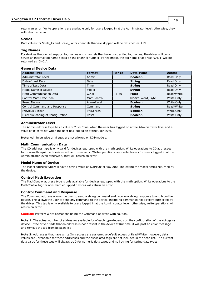return an error. Write operations are available only for users logged in at the Administrator level; otherwise, they will return an error.

#### **Scales**

Data values for Scale\_Hi and Scale\_Lo for channels that are skipped will be returned as +INF.

#### **Tag Names**

For devices that do not support tag names and channels that have unspecified tag names, the driver will construct an internal tag name based on the channel number. For example, the tag name of address 'CH01' will be returned as 'CH01'.

#### **General Device Data**

| <b>Address Type</b>               | <b>Format</b> | Range     | <b>Data Types</b> | <b>Access</b> |
|-----------------------------------|---------------|-----------|-------------------|---------------|
| <b>Administrator Level</b>        | Admin         |           | <b>Boolean</b>    | Read Only     |
| Date of Last Data                 | Date          |           | <b>String</b>     | Read Only     |
| Time of Last Data                 | <b>Time</b>   |           | <b>String</b>     | Read Only     |
| Model Name of Device              | Model         |           | <b>String</b>     | Read Only     |
| <b>Math Communication Data</b>    | <b>CD</b> xx  | $ 01-30 $ | <b>Float</b>      | Read/Write    |
| <b>Control Math Execution</b>     | MathControl   |           | Short, Word, Byte | Write Only    |
| <b>Reset Alarms</b>               | AlarmReset    |           | <b>Boolean</b>    | Write Only    |
| Control Command and Response      | Command       |           | <b>String</b>     | Read/Write    |
| Previous Screen                   | PreScreen     |           | <b>Boolean</b>    | Write Only    |
| Direct Reloading of Configuration | Reset         |           | <b>Boolean</b>    | Write Only    |

#### **Administrator Level**

The Admin address type has a value of '1' or 'true' when the user has logged on at the Administrator level and a value of '0' or 'false' when the user has logged on at the User level.

**Note:** Administrative privileges are not allowed on DXP models.

#### **Math Communication Data**

The CD address type is only valid for devices equipped with the math option. Write operations to CD addresses for non-math equipped devices will return an error. Write operations are available only for users logged in at the Administrator level; otherwise, they will return an error.

#### **Model Name of Device**

The Model address type will have a string value of 'DXP100' or 'DXP200', indicating the model series returned by the device.

#### **Control Math Execution**

The MathControl address type is only available for devices equipped with the math option. Write operations to the MathControl tag for non-math equipped devices will return an error.

#### **Control Command and Response**

The Command address allows the user to send a string command and receive a string response to and from the device. This allows the user to send any command to the device, including commands not directly supported by the driver. This tag is only available to users logged in at the Administrator level; otherwise, write operations will return an error.

**Caution:** Perform Write operations using the Command address with caution.

**Note 1:** The actual number of addresses available for of each type depends on the configuration of the Yokogawa device. If the driver finds that an address is not present in the device at Runtime, it will post an error message and remove the tag from its scan list.

**Note 2:** Addresses that have Write Only access are assigned a default access of Read/Write; however, data values are unreadable for these addresses and the associated tags are not included in the scan list. The current data value for these tags will always be 0 for numeric data types and null string for string data types.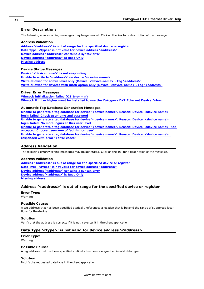#### <span id="page-16-0"></span>**Error Descriptions**

The following error/warning messages may be generated. Click on the link for a description of the message.

#### **Address Validation**

**[Address](#page-16-2) ['<address>'](#page-16-2) [is](#page-16-2) [out](#page-16-2) [of](#page-16-2) [range](#page-16-2) [for](#page-16-2) [the](#page-16-2) [specified](#page-16-2) [device](#page-16-2) [or](#page-16-2) [register](#page-16-2) [Data](#page-16-3) [Type](#page-16-3) ['<type>'](#page-16-3) [is](#page-16-3) [not](#page-16-3) [valid](#page-16-3) [for](#page-16-3) [device](#page-16-3) [address](#page-16-3) ['<address>'](#page-16-3) [Device](#page-17-0) [address](#page-17-0) ['<address>'](#page-17-0) [contains](#page-17-0) [a](#page-17-0) [syntax](#page-17-0) [error](#page-17-0) [Device](#page-17-1) [address](#page-17-1) ['<address>'](#page-17-1) [is](#page-17-1) [Read](#page-17-1) [Only](#page-17-1) [Missing](#page-17-2) [address](#page-17-2)**

#### **Device Status Messages**

**[Device](#page-17-4) ['<device](#page-17-4) [name>'](#page-17-4) [is](#page-17-4) [not](#page-17-4) [responding](#page-17-4) [Unable](#page-17-5) [to](#page-17-5) [write](#page-17-5) [to](#page-17-5) ['<address>'](#page-17-5) [on](#page-17-5) [device](#page-17-5) ['<device](#page-17-5) [name>](#page-17-5) [Write](#page-18-0) [allowed](#page-18-0) [for](#page-18-0) [admin](#page-18-0) [level](#page-18-0) [only](#page-18-0) [\(Device](#page-18-0) ['<device-name>',](#page-18-0) [Tag](#page-18-0) ['<address>'](#page-18-0) [Write](#page-18-1) [allowed](#page-18-1) [for](#page-18-1) [devices](#page-18-1) [with](#page-18-1) [math](#page-18-1) [option](#page-18-1) [only](#page-18-1) [\(Device](#page-18-1) ['<device-name>',](#page-18-1) [Tag](#page-18-1) ['<address>'](#page-18-1)**

#### **Driver Error Messages**

**[Winsock](#page-18-3) [initialization](#page-18-3) [failed](#page-18-3) [\(OS](#page-18-3) [Error](#page-18-3) [=](#page-18-3) [n\)](#page-18-3) [Winsock](#page-18-4) [V1.1](#page-18-4) [or](#page-18-4) [higher](#page-18-4) [must](#page-18-4) [be](#page-18-4) [installed](#page-18-4) [to](#page-18-4) [use](#page-18-4) [the](#page-18-4) [Yokogawa](#page-18-4) [DXP](#page-18-4) [Ethernet](#page-18-4) [Device](#page-18-4) [Driver](#page-18-4)**

#### **Automatic Tag Database Generation Messages**

**[Unable](#page-19-1) [to](#page-19-1) [generate](#page-19-1) [a](#page-19-1) [tag](#page-19-1) [database](#page-19-1) [for](#page-19-1) [device](#page-19-1) ['<device](#page-19-1) [name>'.](#page-19-1) [Reason:](#page-19-1) [Device](#page-19-1) ['<device](#page-19-1) [name>'](#page-19-1) [login](#page-19-1) [failed.](#page-19-1) [Check](#page-19-1) [username](#page-19-1) [and](#page-19-1) [password](#page-19-1) [Unable](#page-19-2) [to](#page-19-2) [generate](#page-19-2) [a](#page-19-2) [tag](#page-19-2) [database](#page-19-2) [for](#page-19-2) [device](#page-19-2) ['<device](#page-19-2) [name>'.](#page-19-2) [Reason:](#page-19-2) [Device](#page-19-2) ['<device](#page-19-2) [name>'](#page-19-2) [login](#page-19-2) [failed.](#page-19-2) [No](#page-19-2) [more](#page-19-2) [logins](#page-19-2) [at](#page-19-2) [this](#page-19-2) [user](#page-19-2) [level](#page-19-2) [Unable](#page-19-3) [to](#page-19-3) [generate](#page-19-3) [a](#page-19-3) [tag](#page-19-3) [database](#page-19-3) [for](#page-19-3) [device](#page-19-3) ['<device](#page-19-3) [name>'.](#page-19-3) [Reason:](#page-19-3) [Device](#page-19-3) ['<device](#page-19-3) [name>'](#page-19-3) [not](#page-19-3) [accepted.](#page-19-3) [Choose](#page-19-3) [username](#page-19-3) [of](#page-19-3) ['admin'](#page-19-3) [or](#page-19-3) ['user'](#page-19-3) [Unable](#page-20-0) [to](#page-20-0) [generate](#page-20-0) [a](#page-20-0) [tag](#page-20-0) [database](#page-20-0) [for](#page-20-0) [device](#page-20-0) ['<device](#page-20-0) [name>'.](#page-20-0) [Reason:](#page-20-0) [Device](#page-20-0) ['<device](#page-20-0) [name>'](#page-20-0) [responded](#page-20-0) [with](#page-20-0) [error](#page-20-0) ['<error](#page-20-0) [code>'](#page-20-0)**

#### <span id="page-16-1"></span>**Address Validation**

The following error/warning messages may be generated. Click on the link for a description of the message.

#### **Address Validation**

**[Address](#page-16-2) ['<address>'](#page-16-2) [is](#page-16-2) [out](#page-16-2) [of](#page-16-2) [range](#page-16-2) [for](#page-16-2) [the](#page-16-2) [specified](#page-16-2) [device](#page-16-2) [or](#page-16-2) [register](#page-16-2) [Data](#page-16-3) [Type](#page-16-3) ['<type>'](#page-16-3) [is](#page-16-3) [not](#page-16-3) [valid](#page-16-3) [for](#page-16-3) [device](#page-16-3) [address](#page-16-3) ['<address>'](#page-16-3) [Device](#page-17-0) [address](#page-17-0) ['<address>'](#page-17-0) [contains](#page-17-0) [a](#page-17-0) [syntax](#page-17-0) [error](#page-17-0) [Device](#page-17-1) [address](#page-17-1) ['<address>'](#page-17-1) [is](#page-17-1) [Read](#page-17-1) [Only](#page-17-1) [Missing](#page-17-2) [address](#page-17-2)**

#### <span id="page-16-2"></span>**Address '<address>' is out of range for the specified device or register**

# **Error Type:**

Warning

#### **Possible Cause:**

A tag address that has been specified statically references a location that is beyond the range of supported locations for the device.

#### **Solution:**

<span id="page-16-3"></span>Verify that the address is correct; if it is not, re-enter it in the client application.

#### Data Type '<type>' is not valid for device address '<address>'

# **Error Type:**

Warning

#### **Possible Cause:**

A tag address that has been specified statically has been assigned an invalid data type.

#### **Solution:**

Modify the requested data type in the client application.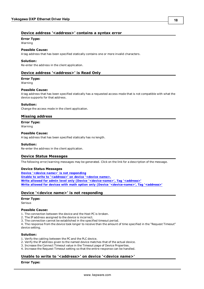#### <span id="page-17-0"></span>**Error Type:**

Warning

#### **Possible Cause:**

A tag address that has been specified statically contains one or more invalid characters.

#### **Solution:**

<span id="page-17-1"></span>Re-enter the address in the client application.

#### Device address '<address>' is Read Only

#### **Error Type:**

Warning

#### **Possible Cause:**

A tag address that has been specified statically has a requested access mode that is not compatible with what the device supports for that address.

#### **Solution:**

<span id="page-17-2"></span>Change the access mode in the client application.

#### **Missing address**

#### **Error Type:**

Warning

#### **Possible Cause:**

A tag address that has been specified statically has no length.

#### **Solution:**

<span id="page-17-3"></span>Re-enter the address in the client application.

#### **Device Status Messages**

The following error/warning messages may be generated. Click on the link for a description of the message.

#### **Device Status Messages**

**[Device](#page-17-4) ['<device](#page-17-4) [name>'](#page-17-4) [is](#page-17-4) [not](#page-17-4) [responding](#page-17-4) [Unable](#page-17-5) [to](#page-17-5) [write](#page-17-5) [to](#page-17-5) ['<address>'](#page-17-5) [on](#page-17-5) [device](#page-17-5) ['<device](#page-17-5) [name>.](#page-17-5) [Write](#page-18-0) [allowed](#page-18-0) [for](#page-18-0) [admin](#page-18-0) [level](#page-18-0) [only](#page-18-0) [\(Device](#page-18-0) ['<device-name>',](#page-18-0) [Tag](#page-18-0) ['<address>'](#page-18-0) [Write](#page-18-1) [allowed](#page-18-1) [for](#page-18-1) [devices](#page-18-1) [with](#page-18-1) [math](#page-18-1) [option](#page-18-1) [only](#page-18-1) [\(Device](#page-18-1) ['<device-name>',](#page-18-1) [Tag](#page-18-1) ['<address>'](#page-18-1)**

#### <span id="page-17-4"></span>**Device '<device name>' is not responding**

#### **Error Type:**

Serious

#### **Possible Cause:**

1. The connection between the device and the Host PC is broken.

2. The IP address assigned to the device is incorrect.

3. The connection cannot be established in the specified timeout period.

4. The response from the device took longer to receive than the amount of time specified in the "Request Timeout" device setting.

#### **Solution:**

- 1. Verify the cabling between the PC and the PLC device.
- 2. Verify the IP address given to the named device matches that of the actual device.
- 3. Increase the Connect Timeout value in the Timeout page of Device Properties.
- <span id="page-17-5"></span>4. Increase the Request Timeout setting so that the entire response can be handled.

#### Unable to write to '<address>' on device '<device name>'

#### **Error Type:**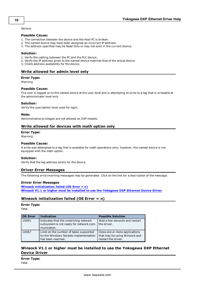Serious

#### **Possible Cause:**

- 1. The connection between the device and the Host PC is broken.
- 2. The named device may have been assigned an incorrect IP address.
- 3. The address specified may be Read Only or may not exist in the current device.

#### **Solution:**

- 1. Verify the cabling between the PC and the PLC device.
- 2. Verify the IP address given to the named device matches that of the actual device.
- <span id="page-18-0"></span>3. Check address availability for the device.

#### **Write allowed for admin level only**

#### **Error Type:**

Warning

#### **Possible Cause:**

The user is logged on to the named device at the user level and is attempting to write to a tag that is writeable at the administrator level only.

#### **Solution:**

Verify the user/admin level used for login.

#### **Note:**

<span id="page-18-1"></span>Administrative privileges are not allowed on DXP models.

#### **Write allowed for devices with math option only**

#### **Error Type:**

Warning

#### **Possible Cause:**

A write was attempted to a tag that is available for math operations only; however, the named device is not equipped with the math option.

#### **Solution:**

<span id="page-18-2"></span>Verify that the tag address exists for the device.

#### **Driver Error Messages**

The following error/warning messages may be generated. Click on the link for a description of the message.

#### **Driver Error Messages**

**[Winsock](#page-18-3) [initialization](#page-18-3) [failed](#page-18-3) [\(OS](#page-18-3) [Error](#page-18-3) [=](#page-18-3) [n\)](#page-18-3) [Winsock](#page-18-4) [V1.1](#page-18-4) [or](#page-18-4) [higher](#page-18-4) [must](#page-18-4) [be](#page-18-4) [installed](#page-18-4) [to](#page-18-4) [use](#page-18-4) [the](#page-18-4) [Yokogawa](#page-18-4) [DXP](#page-18-4) [Ethernet](#page-18-4) [Device](#page-18-4) [Driver](#page-18-4)**

#### <span id="page-18-3"></span>**Winsock initialization failed (OS Error = n)**

#### **Error Type:**

Fatal

| <b>OS Error</b> | <b>Indication</b>                                                                                    | <b>Possible Solution</b>                                                               |
|-----------------|------------------------------------------------------------------------------------------------------|----------------------------------------------------------------------------------------|
| 10091           | Indicates that the underlying network<br>subsystem is not ready for network com-<br>munication.      | Wait a few seconds and restart<br>the driver.                                          |
| 10067           | Limit on the number of tasks supported<br>by the Windows Sockets implementation<br>has been reached. | Close one or more applications<br>that may be using Winsock and<br>restart the driver. |

#### <span id="page-18-4"></span>**Winsock V1.1 or higher must be installed to use the Yokogawa DXP Ethernet Device Driver**

**Error Type:** Fatal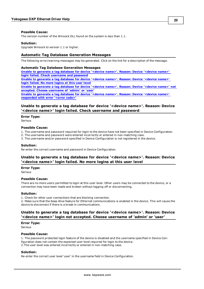#### **Possible Cause:**

The version number of the Winsock DLL found on the system is less than 1.1.

#### **Solution:**

<span id="page-19-0"></span>Upgrade Winsock to version 1.1 or higher.

#### **Automatic Tag Database Generation Messages**

The following error/warning messages may be generated. Click on the link for a description of the message.

#### **Automatic Tag Database Generation Messages**

**[Unable](#page-19-1) [to](#page-19-1) [generate](#page-19-1) [a](#page-19-1) [tag](#page-19-1) [database](#page-19-1) [for](#page-19-1) [device](#page-19-1) ['<device](#page-19-1) [name>'.](#page-19-1) [Reason:](#page-19-1) [Device](#page-19-1) ['<device](#page-19-1) [name>'](#page-19-1) [login](#page-19-1) [failed.](#page-19-1) [Check](#page-19-1) [username](#page-19-1) [and](#page-19-1) [password](#page-19-1) [Unable](#page-19-2) [to](#page-19-2) [generate](#page-19-2) [a](#page-19-2) [tag](#page-19-2) [database](#page-19-2) [for](#page-19-2) [device](#page-19-2) ['<device](#page-19-2) [name>'.](#page-19-2) [Reason:](#page-19-2) [Device](#page-19-2) ['<device](#page-19-2) [name>'](#page-19-2) [login](#page-19-2) [failed.](#page-19-2) [No](#page-19-2) [more](#page-19-2) [logins](#page-19-2) [at](#page-19-2) [this](#page-19-2) [user](#page-19-2) [level](#page-19-2) [Unable](#page-19-3) [to](#page-19-3) [generate](#page-19-3) [a](#page-19-3) [tag](#page-19-3) [database](#page-19-3) [for](#page-19-3) [device](#page-19-3) ['<device](#page-19-3) [name>'.](#page-19-3) [Reason:](#page-19-3) [Device](#page-19-3) ['<device](#page-19-3) [name>'](#page-19-3) [not](#page-19-3)**

**[accepted.](#page-19-3) [Choose](#page-19-3) [username](#page-19-3) [of](#page-19-3) ['admin'](#page-19-3) [or](#page-19-3) ['user'](#page-19-3) [Unable](#page-20-0) [to](#page-20-0) [generate](#page-20-0) [a](#page-20-0) [tag](#page-20-0) [database](#page-20-0) [for](#page-20-0) [device](#page-20-0) ['<device](#page-20-0) [name>'.](#page-20-0) [Reason:](#page-20-0) [Device](#page-20-0) ['<device](#page-20-0) [name>'](#page-20-0) [responded](#page-20-0) [with](#page-20-0) [error](#page-20-0) ['<error](#page-20-0) [code>'](#page-20-0)**

#### <span id="page-19-1"></span>**Unable to generate a tag database for device '<device name>'. Reason: Device '<device name>' login failed. Check username and password**

#### **Error Type:**

Serious

#### **Possible Cause:**

- 1. The username and password required for login to the device have not been specified in Device Configuration.
- 2. The username and password were entered incorrectly or entered in non-matching case.
- 3. The username and/or password specified in Device Configuration is not registered in the device.

#### **Solution:**

<span id="page-19-2"></span>Re-enter the correct username and password in Device Configuration.

#### **Unable to generate a tag database for device '<device name>'. Reason: Device '<device name>' login failed. No more logins at this user level**

**Error Type:**

Serious

#### **Possible Cause:**

There are no more users permitted to login at this user level. Other users may be connected to the device, or a connection may have been made and broken without logging off or disconnecting.

#### **Solution:**

1. Check for other user connections that are blocking connection.

2. Make sure that the Keep Alive feature for Ethernet communications is enabled in the device. This will cause the device to disconnect if there is a break in communications.

#### <span id="page-19-3"></span>**Unable to generate a tag database for device '<device name>'. Reason: Device '<device name>' login not accepted. Choose username of 'admin' or 'user'**

**Error Type:**

Serious

#### **Possible Cause:**

1. The password protected login feature of the device is disabled and the username specified in Device Configuration does not contain the expected user level required for login to the device. 2.The user level was entered incorrectly or entered in non-matching case.

#### **Solution:**

Re-enter the correct user level 'user' in the username field in Device Configuration.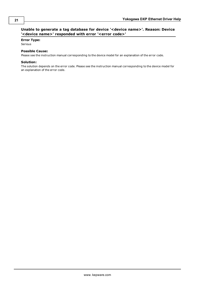## <span id="page-20-0"></span>**Unable to generate a tag database for device '<device name>'. Reason: Device '<device name>' responded with error '<error code>'**

#### **Error Type:**

Serious

#### **Possible Cause:**

Please see the instruction manual corresponding to the device model for an explanation of the error code.

#### **Solution:**

The solution depends on the error code. Please see the instruction manual corresponding to the device model for an explanation of the error code.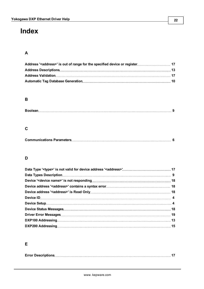# <span id="page-21-0"></span>**Index**

# **A**

# **B**

# **C**

|--|--|

# **D**

# **E**

|--|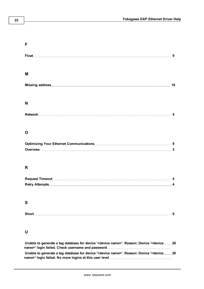# **F Float [9](#page-8-2) M Missing address [18](#page-17-2) N Network [4](#page-3-2)**

# **O**

# **R**

# **S**

# **U**

| Unable to generate a tag database for device ' <device name="">'. Reason: Device '<device 20<="" th=""></device></device> |
|---------------------------------------------------------------------------------------------------------------------------|
|                                                                                                                           |
| Unable to generate a tag database for device ' <device name="">'. Reason: Device '<device 20<="" td=""></device></device> |